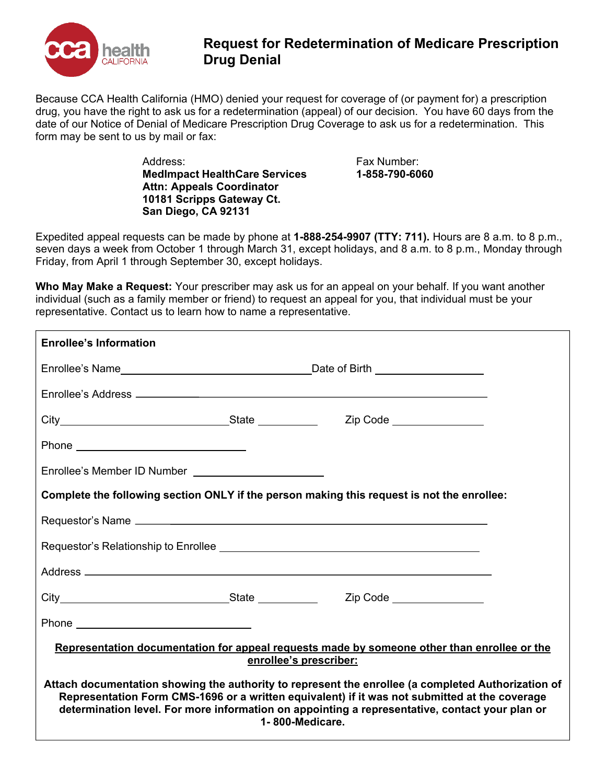

## **Request for Redetermination of Medicare Prescription Drug Denial**

Because CCA Health California (HMO) denied your request for coverage of (or payment for) a prescription drug, you have the right to ask us for a redetermination (appeal) of our decision. You have 60 days from the date of our Notice of Denial of Medicare Prescription Drug Coverage to ask us for a redetermination. This form may be sent to us by mail or fax:

> Address: **MedImpact HealthCare Services Attn: Appeals Coordinator 10181 Scripps Gateway Ct. San Diego, CA 92131**

Fax Number: **1-858-790-6060**

Expedited appeal requests can be made by phone at **1-888-254-9907 (TTY: 711).** Hours are 8 a.m. to 8 p.m., seven days a week from October 1 through March 31, except holidays, and 8 a.m. to 8 p.m., Monday through Friday, from April 1 through September 30, except holidays.

**Who May Make a Request:** Your prescriber may ask us for an appeal on your behalf. If you want another individual (such as a family member or friend) to request an appeal for you, that individual must be your representative. Contact us to learn how to name a representative.

| <b>Enrollee's Information</b>                                                                                                                                                                                                                                                                                            |  |  |  |  |
|--------------------------------------------------------------------------------------------------------------------------------------------------------------------------------------------------------------------------------------------------------------------------------------------------------------------------|--|--|--|--|
| Enrollee's Name <b>Enrollee's</b> Name <b>New York Contract Contract Contract Contract Contract Contract Contract Contract Contract Contract Contract Contract Contract Contract Contract Contract Contract Contract Contract Contrac</b>                                                                                |  |  |  |  |
|                                                                                                                                                                                                                                                                                                                          |  |  |  |  |
|                                                                                                                                                                                                                                                                                                                          |  |  |  |  |
|                                                                                                                                                                                                                                                                                                                          |  |  |  |  |
|                                                                                                                                                                                                                                                                                                                          |  |  |  |  |
| Complete the following section ONLY if the person making this request is not the enrollee:                                                                                                                                                                                                                               |  |  |  |  |
|                                                                                                                                                                                                                                                                                                                          |  |  |  |  |
|                                                                                                                                                                                                                                                                                                                          |  |  |  |  |
|                                                                                                                                                                                                                                                                                                                          |  |  |  |  |
|                                                                                                                                                                                                                                                                                                                          |  |  |  |  |
|                                                                                                                                                                                                                                                                                                                          |  |  |  |  |
| Representation documentation for appeal requests made by someone other than enrollee or the<br>enrollee's prescriber:                                                                                                                                                                                                    |  |  |  |  |
| Attach documentation showing the authority to represent the enrollee (a completed Authorization of<br>Representation Form CMS-1696 or a written equivalent) if it was not submitted at the coverage<br>determination level. For more information on appointing a representative, contact your plan or<br>1-800-Medicare. |  |  |  |  |